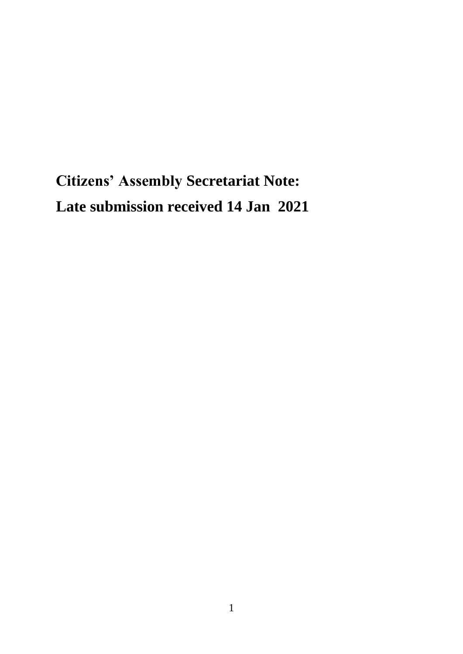## **Citizens' Assembly Secretariat Note: Late submission received 14 Jan 2021**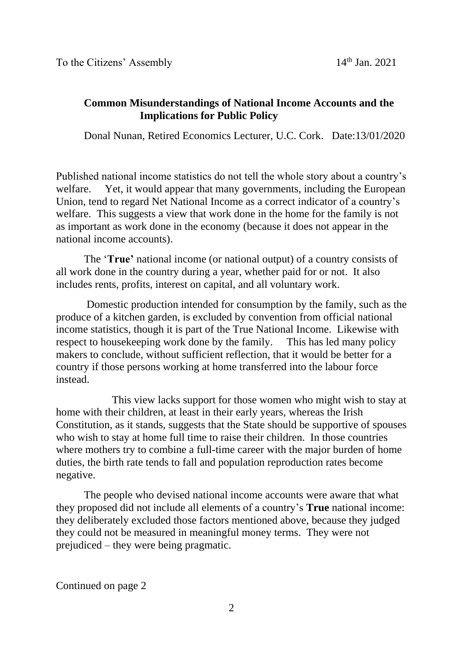## **Common Misunderstandings of National Income Accounts and the Implications for Public Policy**

Donal Nunan, Retired Economics Lecturer, U.C. Cork. Date:13/01/2020

Published national income statistics do not tell the whole story about a country's welfare. Yet, it would appear that many governments, including the European Union, tend to regard Net National Income as a correct indicator of a country's welfare. This suggests a view that work done in the home for the family is not as important as work done in the economy (because it does not appear in the national income accounts).

The '**True'** national income (or national output) of a country consists of all work done in the country during a year, whether paid for or not. It also includes rents, profits, interest on capital, and all voluntary work.

Domestic production intended for consumption by the family, such as the produce of a kitchen garden, is excluded by convention from official national income statistics, though it is part of the True National Income. Likewise with respect to housekeeping work done by the family. This has led many policy makers to conclude, without sufficient reflection, that it would be better for a country if those persons working at home transferred into the labour force instead.

This view lacks support for those women who might wish to stay at home with their children, at least in their early years, whereas the Irish Constitution, as it stands, suggests that the State should be supportive of spouses who wish to stay at home full time to raise their children. In those countries where mothers try to combine a full-time career with the major burden of home duties, the birth rate tends to fall and population reproduction rates become negative.

The people who devised national income accounts were aware that what they proposed did not include all elements of a country's **True** national income: they deliberately excluded those factors mentioned above, because they judged they could not be measured in meaningful money terms. They were not prejudiced – they were being pragmatic.

Continued on page 2